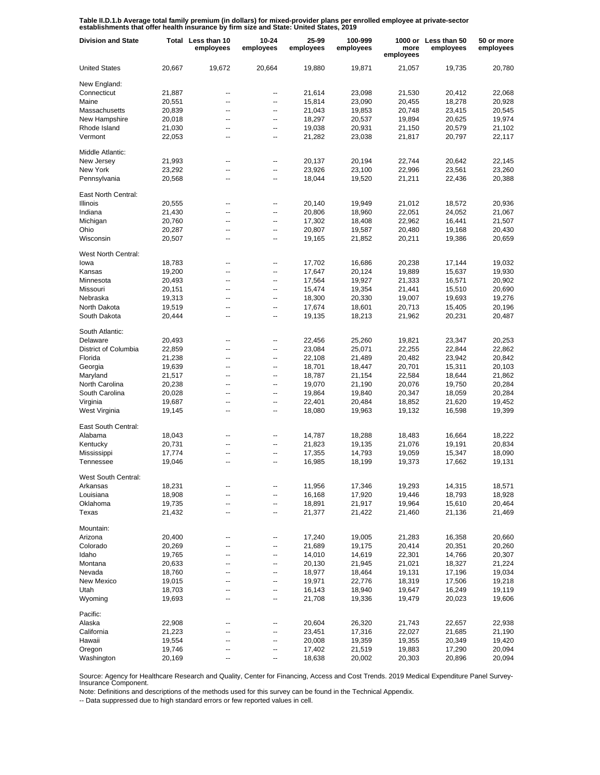**Table II.D.1.b Average total family premium (in dollars) for mixed-provider plans per enrolled employee at private-sector establishments that offer health insurance by firm size and State: United States, 2019**

| <b>Division and State</b> |        | Total Less than 10<br>employees | 10-24<br>employees | 25-99<br>employees | 100-999<br>employees | more<br>employees | 1000 or Less than 50<br>employees | 50 or more<br>employees |
|---------------------------|--------|---------------------------------|--------------------|--------------------|----------------------|-------------------|-----------------------------------|-------------------------|
| <b>United States</b>      | 20,667 | 19,672                          | 20,664             | 19,880             | 19,871               | 21,057            | 19,735                            | 20,780                  |
| New England:              |        |                                 |                    |                    |                      |                   |                                   |                         |
| Connecticut               | 21,887 | --                              | --                 | 21,614             | 23,098               | 21,530            | 20,412                            | 22,068                  |
| Maine                     | 20,551 | --                              | --                 | 15,814             | 23,090               | 20,455            | 18,278                            | 20,928                  |
| Massachusetts             | 20,839 | --                              | --                 | 21,043             | 19,853               | 20,748            | 23,415                            | 20,545                  |
| New Hampshire             | 20,018 | --                              | --                 | 18,297             | 20,537               | 19,894            | 20,625                            | 19,974                  |
| Rhode Island              | 21,030 | --                              | --                 | 19,038             | 20,931               | 21,150            | 20,579                            | 21,102                  |
| Vermont                   | 22,053 | --                              | --                 | 21,282             | 23,038               | 21,817            | 20,797                            | 22,117                  |
| Middle Atlantic:          |        |                                 |                    |                    |                      |                   |                                   |                         |
| New Jersey                | 21,993 |                                 | --                 | 20,137             | 20,194               | 22,744            | 20,642                            | 22,145                  |
| New York                  | 23,292 | --                              | --                 | 23,926             | 23,100               | 22,996            | 23,561                            | 23,260                  |
| Pennsylvania              | 20,568 | ۵.                              | --                 | 18,044             | 19,520               | 21,211            | 22,436                            | 20,388                  |
| East North Central:       |        |                                 |                    |                    |                      |                   |                                   |                         |
| Illinois                  | 20,555 | --                              | --                 | 20,140             | 19,949               | 21,012            | 18,572                            | 20,936                  |
| Indiana                   | 21,430 | --                              | --                 | 20,806             | 18,960               | 22,051            | 24,052                            | 21,067                  |
| Michigan                  | 20,760 | --                              | $\overline{a}$     | 17,302             | 18,408               | 22,962            | 16,441                            | 21,507                  |
| Ohio                      | 20,287 | --                              | --                 | 20,807             | 19,587               | 20,480            | 19,168                            | 20,430                  |
| Wisconsin                 | 20,507 | --                              | --                 | 19,165             | 21,852               | 20,211            | 19,386                            | 20,659                  |
|                           |        |                                 |                    |                    |                      |                   |                                   |                         |
| West North Central:       |        |                                 |                    |                    |                      |                   |                                   |                         |
| lowa                      | 18,783 | --                              | --                 | 17,702             | 16,686               | 20,238            | 17,144                            | 19,032                  |
| Kansas                    | 19,200 | --                              | --                 | 17,647             | 20,124               | 19,889            | 15,637                            | 19,930                  |
| Minnesota                 | 20,493 | --                              | --                 | 17,564             | 19,927               | 21,333            | 16,571                            | 20,902                  |
| Missouri                  | 20,151 | --                              | --                 | 15,474             | 19,354               | 21,441            | 15,510                            | 20,690                  |
| Nebraska                  | 19,313 | --                              | --                 | 18,300             | 20,330               | 19,007            | 19,693                            | 19,276                  |
| North Dakota              | 19,519 | --                              | --                 | 17,674             | 18,601               | 20,713            | 15,405                            | 20,196                  |
| South Dakota              | 20,444 | --                              | --                 | 19,135             | 18,213               | 21,962            | 20,231                            | 20,487                  |
| South Atlantic:           |        |                                 |                    |                    |                      |                   |                                   |                         |
| Delaware                  | 20,493 | --                              | --                 | 22,456             | 25,260               | 19,821            | 23,347                            | 20,253                  |
| District of Columbia      | 22,859 | ۵.                              | --                 | 23,084             | 25,071               | 22,255            | 22,844                            | 22,862                  |
| Florida                   | 21,238 | ۰.                              | --                 | 22,108             | 21,489               | 20,482            | 23,942                            | 20,842                  |
| Georgia                   | 19,639 | ۵.                              | --                 | 18,701             | 18,447               | 20,701            | 15,311                            | 20,103                  |
| Maryland                  | 21,517 | --                              | --                 | 18,787             | 21,154               | 22,584            | 18,644                            | 21,862                  |
| North Carolina            | 20,238 | --                              | --                 | 19,070             | 21,190               | 20,076            | 19,750                            | 20,284                  |
| South Carolina            | 20,028 | --                              | --                 | 19,864             | 19,840               | 20,347            | 18,059                            | 20,284                  |
| Virginia                  | 19,687 | --                              | --                 | 22,401             | 20,484               | 18,852            | 21,620                            | 19,452                  |
| West Virginia             | 19,145 | --                              | --                 | 18,080             | 19,963               | 19,132            | 16,598                            | 19,399                  |
|                           |        |                                 |                    |                    |                      |                   |                                   |                         |
| East South Central:       |        |                                 |                    |                    |                      |                   |                                   |                         |
| Alabama                   | 18,043 | $\overline{\phantom{a}}$        | --                 | 14,787             | 18,288               | 18,483            | 16,664                            | 18,222                  |
| Kentucky                  | 20,731 | --                              | --                 | 21,823             | 19,135               | 21,076            | 19,191                            | 20,834                  |
| Mississippi               | 17,774 | --                              | --                 | 17,355             | 14,793               | 19,059            | 15,347                            | 18,090                  |
| Tennessee                 | 19,046 | --                              | $\overline{a}$     | 16,985             | 18,199               | 19,373            | 17,662                            | 19,131                  |
| West South Central:       |        |                                 |                    |                    |                      |                   |                                   |                         |
| Arkansas                  | 18,231 |                                 |                    | 11,956             | 17,346               | 19,293            | 14,315                            | 18,571                  |
| Louisiana                 | 18,908 | --                              |                    | 16,168             | 17,920               | 19,446            | 18,793                            | 18,928                  |
| Oklahoma                  | 19,735 | --                              | --                 | 18,891             | 21,917               | 19,964            | 15,610                            | 20,464                  |
| Texas                     | 21,432 | --                              | --                 | 21,377             | 21,422               | 21,460            | 21,136                            | 21,469                  |
| Mountain:                 |        |                                 |                    |                    |                      |                   |                                   |                         |
| Arizona                   | 20,400 |                                 |                    | 17,240             | 19,005               | 21,283            | 16,358                            | 20,660                  |
| Colorado                  | 20,269 | --                              | --                 | 21,689             | 19,175               | 20,414            | 20,351                            | 20,260                  |
| Idaho                     | 19,765 | ۵.                              | --                 | 14,010             | 14,619               | 22,301            | 14,766                            | 20,307                  |
| Montana                   | 20,633 | --                              | --                 | 20,130             | 21,945               | 21,021            | 18,327                            | 21,224                  |
| Nevada                    | 18,760 | ۵.                              | --                 | 18,977             | 18,464               | 19,131            | 17,196                            | 19,034                  |
| <b>New Mexico</b>         | 19,015 | --                              | --                 | 19,971             | 22,776               | 18,319            | 17,506                            | 19,218                  |
| Utah                      | 18,703 | --                              | --                 | 16,143             |                      |                   |                                   |                         |
|                           |        |                                 |                    |                    | 18,940               | 19,647            | 16,249                            | 19,119                  |
| Wyoming                   | 19,693 | --                              | --                 | 21,708             | 19,336               | 19,479            | 20,023                            | 19,606                  |
| Pacific:                  |        |                                 |                    |                    |                      |                   |                                   |                         |
| Alaska                    | 22,908 | --                              | --                 | 20,604             | 26,320               | 21,743            | 22,657                            | 22,938                  |
| California                | 21,223 | --                              | --                 | 23,451             | 17,316               | 22,027            | 21,685                            | 21,190                  |
| Hawaii                    | 19,554 | --                              | --                 | 20,008             | 19,359               | 19,355            | 20,349                            | 19,420                  |
| Oregon                    | 19,746 | --                              | --                 | 17,402             | 21,519               | 19,883            | 17,290                            | 20,094                  |
| Washington                | 20,169 | --                              | ۰.                 | 18,638             | 20,002               | 20,303            | 20,896                            | 20,094                  |

Source: Agency for Healthcare Research and Quality, Center for Financing, Access and Cost Trends. 2019 Medical Expenditure Panel Survey-Insurance Component.

Note: Definitions and descriptions of the methods used for this survey can be found in the Technical Appendix.

-- Data suppressed due to high standard errors or few reported values in cell.